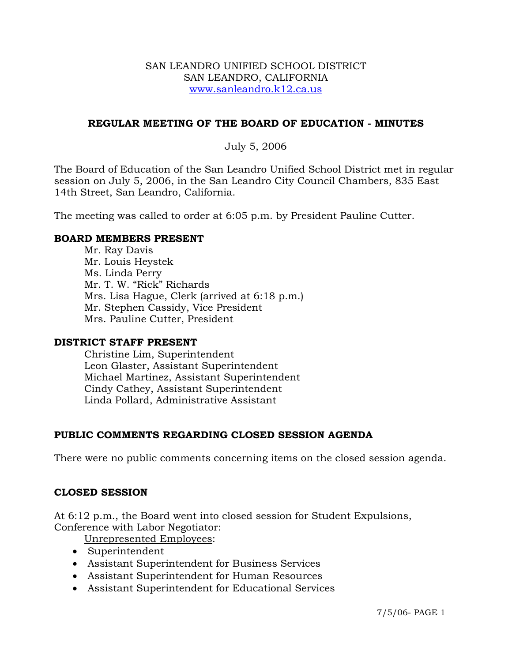#### SAN LEANDRO UNIFIED SCHOOL DISTRICT SAN LEANDRO, CALIFORNIA www.sanleandro.k12.ca.us

## **REGULAR MEETING OF THE BOARD OF EDUCATION - MINUTES**

## July 5, 2006

The Board of Education of the San Leandro Unified School District met in regular session on July 5, 2006, in the San Leandro City Council Chambers, 835 East 14th Street, San Leandro, California.

The meeting was called to order at 6:05 p.m. by President Pauline Cutter.

#### **BOARD MEMBERS PRESENT**

Mr. Ray Davis Mr. Louis Heystek Ms. Linda Perry Mr. T. W. "Rick" Richards Mrs. Lisa Hague, Clerk (arrived at 6:18 p.m.) Mr. Stephen Cassidy, Vice President Mrs. Pauline Cutter, President

#### **DISTRICT STAFF PRESENT**

Christine Lim, Superintendent Leon Glaster, Assistant Superintendent Michael Martinez, Assistant Superintendent Cindy Cathey, Assistant Superintendent Linda Pollard, Administrative Assistant

#### **PUBLIC COMMENTS REGARDING CLOSED SESSION AGENDA**

There were no public comments concerning items on the closed session agenda.

#### **CLOSED SESSION**

At 6:12 p.m., the Board went into closed session for Student Expulsions, Conference with Labor Negotiator:

Unrepresented Employees:

- Superintendent
- Assistant Superintendent for Business Services
- Assistant Superintendent for Human Resources
- Assistant Superintendent for Educational Services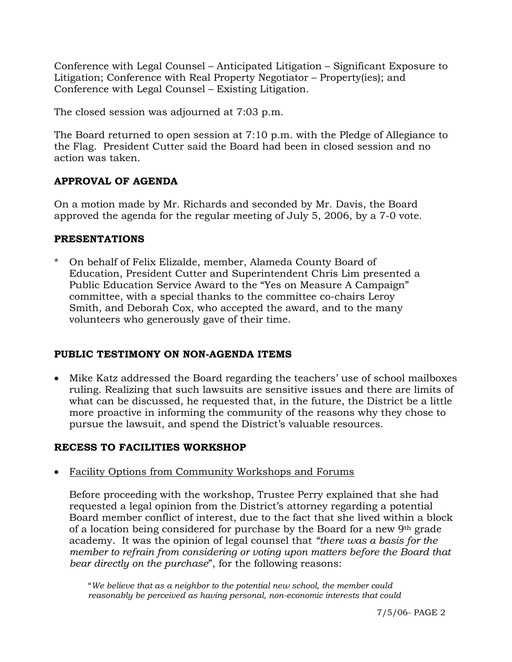Conference with Legal Counsel – Anticipated Litigation – Significant Exposure to Litigation; Conference with Real Property Negotiator – Property(ies); and Conference with Legal Counsel – Existing Litigation.

The closed session was adjourned at 7:03 p.m.

The Board returned to open session at 7:10 p.m. with the Pledge of Allegiance to the Flag. President Cutter said the Board had been in closed session and no action was taken.

# **APPROVAL OF AGENDA**

On a motion made by Mr. Richards and seconded by Mr. Davis, the Board approved the agenda for the regular meeting of July 5, 2006, by a 7-0 vote.

# **PRESENTATIONS**

\* On behalf of Felix Elizalde, member, Alameda County Board of Education, President Cutter and Superintendent Chris Lim presented a Public Education Service Award to the "Yes on Measure A Campaign" committee, with a special thanks to the committee co-chairs Leroy Smith, and Deborah Cox, who accepted the award, and to the many volunteers who generously gave of their time.

# **PUBLIC TESTIMONY ON NON-AGENDA ITEMS**

• Mike Katz addressed the Board regarding the teachers' use of school mailboxes ruling. Realizing that such lawsuits are sensitive issues and there are limits of what can be discussed, he requested that, in the future, the District be a little more proactive in informing the community of the reasons why they chose to pursue the lawsuit, and spend the District's valuable resources.

# **RECESS TO FACILITIES WORKSHOP**

• Facility Options from Community Workshops and Forums

 Before proceeding with the workshop, Trustee Perry explained that she had requested a legal opinion from the District's attorney regarding a potential Board member conflict of interest, due to the fact that she lived within a block of a location being considered for purchase by the Board for a new 9th grade academy. It was the opinion of legal counsel that *"there was a basis for the member to refrain from considering or voting upon matters before the Board that bear directly on the purchase*", for the following reasons:

"*We believe that as a neighbor to the potential new school, the member could reasonably be perceived as having personal, non-economic interests that could*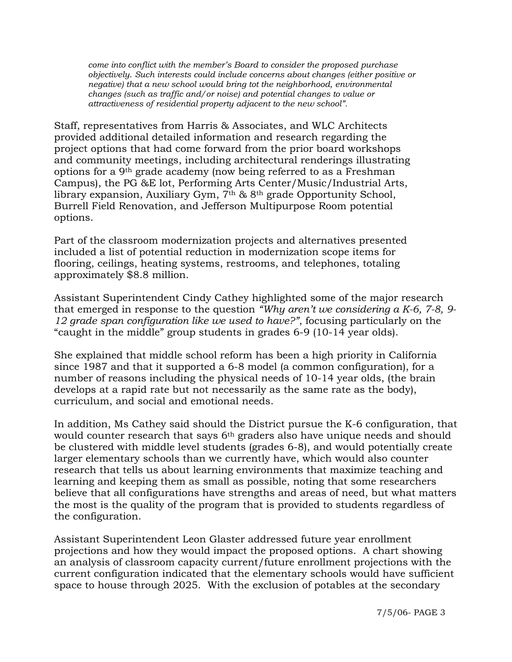*come into conflict with the member's Board to consider the proposed purchase objectively*. *Such interests could include concerns about changes (either positive or negative) that a new school would bring tot the neighborhood, environmental changes (such as traffic and/or noise) and potential changes to value or attractiveness of residential property adjacent to the new school".*

Staff, representatives from Harris & Associates, and WLC Architects provided additional detailed information and research regarding the project options that had come forward from the prior board workshops and community meetings, including architectural renderings illustrating options for a 9th grade academy (now being referred to as a Freshman Campus), the PG &E lot, Performing Arts Center/Music/Industrial Arts, library expansion, Auxiliary Gym, 7th & 8th grade Opportunity School, Burrell Field Renovation, and Jefferson Multipurpose Room potential options.

Part of the classroom modernization projects and alternatives presented included a list of potential reduction in modernization scope items for flooring, ceilings, heating systems, restrooms, and telephones, totaling approximately \$8.8 million.

Assistant Superintendent Cindy Cathey highlighted some of the major research that emerged in response to the question *"Why aren't we considering a K-6, 7-8, 9- 12 grade span configuration like we used to have?"*, focusing particularly on the "caught in the middle" group students in grades 6-9 (10-14 year olds).

She explained that middle school reform has been a high priority in California since 1987 and that it supported a 6-8 model (a common configuration), for a number of reasons including the physical needs of 10-14 year olds, (the brain develops at a rapid rate but not necessarily as the same rate as the body), curriculum, and social and emotional needs.

In addition, Ms Cathey said should the District pursue the K-6 configuration, that would counter research that says 6<sup>th</sup> graders also have unique needs and should be clustered with middle level students (grades 6-8), and would potentially create larger elementary schools than we currently have, which would also counter research that tells us about learning environments that maximize teaching and learning and keeping them as small as possible, noting that some researchers believe that all configurations have strengths and areas of need, but what matters the most is the quality of the program that is provided to students regardless of the configuration.

Assistant Superintendent Leon Glaster addressed future year enrollment projections and how they would impact the proposed options. A chart showing an analysis of classroom capacity current/future enrollment projections with the current configuration indicated that the elementary schools would have sufficient space to house through 2025. With the exclusion of potables at the secondary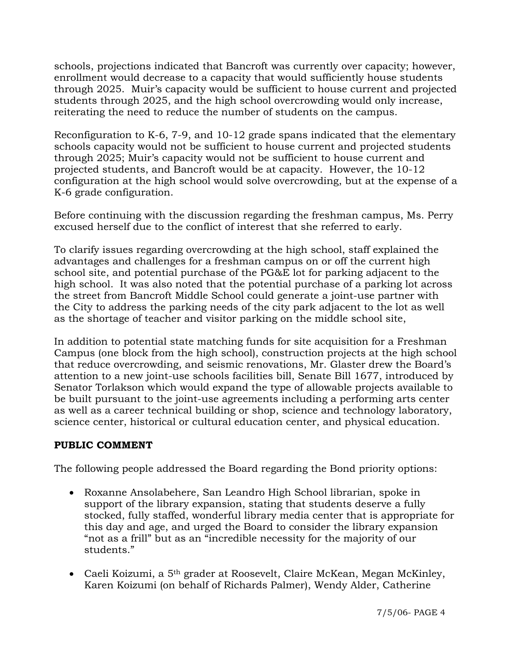schools, projections indicated that Bancroft was currently over capacity; however, enrollment would decrease to a capacity that would sufficiently house students through 2025. Muir's capacity would be sufficient to house current and projected students through 2025, and the high school overcrowding would only increase, reiterating the need to reduce the number of students on the campus.

Reconfiguration to K-6, 7-9, and 10-12 grade spans indicated that the elementary schools capacity would not be sufficient to house current and projected students through 2025; Muir's capacity would not be sufficient to house current and projected students, and Bancroft would be at capacity. However, the 10-12 configuration at the high school would solve overcrowding, but at the expense of a K-6 grade configuration.

Before continuing with the discussion regarding the freshman campus, Ms. Perry excused herself due to the conflict of interest that she referred to early.

To clarify issues regarding overcrowding at the high school, staff explained the advantages and challenges for a freshman campus on or off the current high school site, and potential purchase of the PG&E lot for parking adjacent to the high school. It was also noted that the potential purchase of a parking lot across the street from Bancroft Middle School could generate a joint-use partner with the City to address the parking needs of the city park adjacent to the lot as well as the shortage of teacher and visitor parking on the middle school site,

In addition to potential state matching funds for site acquisition for a Freshman Campus (one block from the high school), construction projects at the high school that reduce overcrowding, and seismic renovations, Mr. Glaster drew the Board's attention to a new joint-use schools facilities bill, Senate Bill 1677, introduced by Senator Torlakson which would expand the type of allowable projects available to be built pursuant to the joint-use agreements including a performing arts center as well as a career technical building or shop, science and technology laboratory, science center, historical or cultural education center, and physical education.

# **PUBLIC COMMENT**

The following people addressed the Board regarding the Bond priority options:

- Roxanne Ansolabehere, San Leandro High School librarian, spoke in support of the library expansion, stating that students deserve a fully stocked, fully staffed, wonderful library media center that is appropriate for this day and age, and urged the Board to consider the library expansion "not as a frill" but as an "incredible necessity for the majority of our students."
- Caeli Koizumi, a 5th grader at Roosevelt, Claire McKean, Megan McKinley, Karen Koizumi (on behalf of Richards Palmer), Wendy Alder, Catherine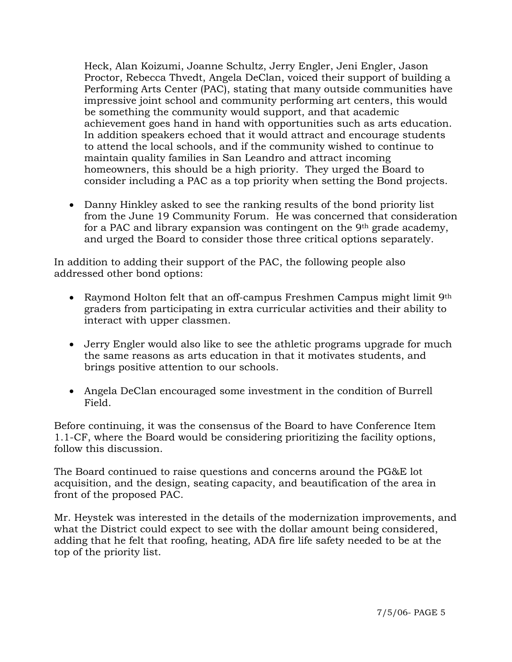Heck, Alan Koizumi, Joanne Schultz, Jerry Engler, Jeni Engler, Jason Proctor, Rebecca Thvedt, Angela DeClan, voiced their support of building a Performing Arts Center (PAC), stating that many outside communities have impressive joint school and community performing art centers, this would be something the community would support, and that academic achievement goes hand in hand with opportunities such as arts education. In addition speakers echoed that it would attract and encourage students to attend the local schools, and if the community wished to continue to maintain quality families in San Leandro and attract incoming homeowners, this should be a high priority. They urged the Board to consider including a PAC as a top priority when setting the Bond projects.

• Danny Hinkley asked to see the ranking results of the bond priority list from the June 19 Community Forum. He was concerned that consideration for a PAC and library expansion was contingent on the 9th grade academy, and urged the Board to consider those three critical options separately.

In addition to adding their support of the PAC, the following people also addressed other bond options:

- Raymond Holton felt that an off-campus Freshmen Campus might limit 9<sup>th</sup> graders from participating in extra curricular activities and their ability to interact with upper classmen.
- Jerry Engler would also like to see the athletic programs upgrade for much the same reasons as arts education in that it motivates students, and brings positive attention to our schools.
- Angela DeClan encouraged some investment in the condition of Burrell Field.

Before continuing, it was the consensus of the Board to have Conference Item 1.1-CF, where the Board would be considering prioritizing the facility options, follow this discussion.

The Board continued to raise questions and concerns around the PG&E lot acquisition, and the design, seating capacity, and beautification of the area in front of the proposed PAC.

Mr. Heystek was interested in the details of the modernization improvements, and what the District could expect to see with the dollar amount being considered, adding that he felt that roofing, heating, ADA fire life safety needed to be at the top of the priority list.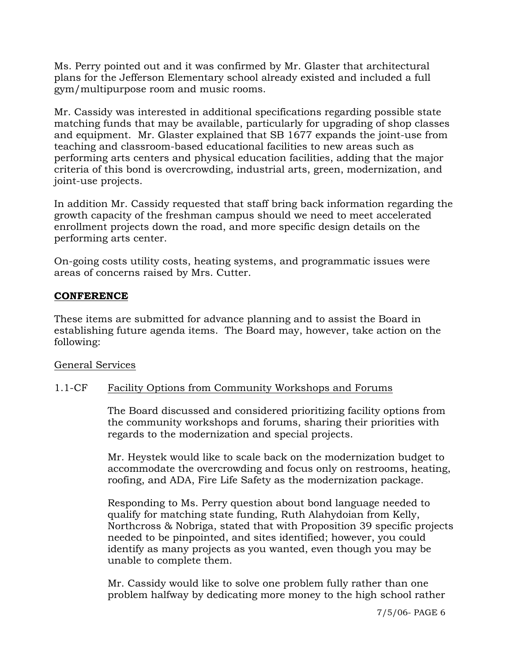Ms. Perry pointed out and it was confirmed by Mr. Glaster that architectural plans for the Jefferson Elementary school already existed and included a full gym/multipurpose room and music rooms.

Mr. Cassidy was interested in additional specifications regarding possible state matching funds that may be available, particularly for upgrading of shop classes and equipment. Mr. Glaster explained that SB 1677 expands the joint-use from teaching and classroom-based educational facilities to new areas such as performing arts centers and physical education facilities, adding that the major criteria of this bond is overcrowding, industrial arts, green, modernization, and joint-use projects.

In addition Mr. Cassidy requested that staff bring back information regarding the growth capacity of the freshman campus should we need to meet accelerated enrollment projects down the road, and more specific design details on the performing arts center.

On-going costs utility costs, heating systems, and programmatic issues were areas of concerns raised by Mrs. Cutter.

## **CONFERENCE**

These items are submitted for advance planning and to assist the Board in establishing future agenda items. The Board may, however, take action on the following:

#### General Services

## 1.1-CF Facility Options from Community Workshops and Forums

The Board discussed and considered prioritizing facility options from the community workshops and forums, sharing their priorities with regards to the modernization and special projects.

Mr. Heystek would like to scale back on the modernization budget to accommodate the overcrowding and focus only on restrooms, heating, roofing, and ADA, Fire Life Safety as the modernization package.

Responding to Ms. Perry question about bond language needed to qualify for matching state funding, Ruth Alahydoian from Kelly, Northcross & Nobriga, stated that with Proposition 39 specific projects needed to be pinpointed, and sites identified; however, you could identify as many projects as you wanted, even though you may be unable to complete them.

Mr. Cassidy would like to solve one problem fully rather than one problem halfway by dedicating more money to the high school rather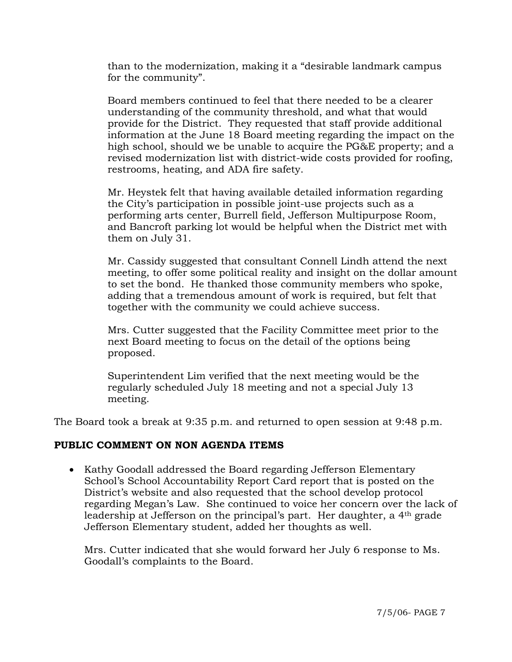than to the modernization, making it a "desirable landmark campus for the community".

Board members continued to feel that there needed to be a clearer understanding of the community threshold, and what that would provide for the District. They requested that staff provide additional information at the June 18 Board meeting regarding the impact on the high school, should we be unable to acquire the PG&E property; and a revised modernization list with district-wide costs provided for roofing, restrooms, heating, and ADA fire safety.

Mr. Heystek felt that having available detailed information regarding the City's participation in possible joint-use projects such as a performing arts center, Burrell field, Jefferson Multipurpose Room, and Bancroft parking lot would be helpful when the District met with them on July 31.

Mr. Cassidy suggested that consultant Connell Lindh attend the next meeting, to offer some political reality and insight on the dollar amount to set the bond. He thanked those community members who spoke, adding that a tremendous amount of work is required, but felt that together with the community we could achieve success.

Mrs. Cutter suggested that the Facility Committee meet prior to the next Board meeting to focus on the detail of the options being proposed.

Superintendent Lim verified that the next meeting would be the regularly scheduled July 18 meeting and not a special July 13 meeting.

The Board took a break at 9:35 p.m. and returned to open session at 9:48 p.m.

## **PUBLIC COMMENT ON NON AGENDA ITEMS**

• Kathy Goodall addressed the Board regarding Jefferson Elementary School's School Accountability Report Card report that is posted on the District's website and also requested that the school develop protocol regarding Megan's Law. She continued to voice her concern over the lack of leadership at Jefferson on the principal's part. Her daughter, a 4th grade Jefferson Elementary student, added her thoughts as well.

 Mrs. Cutter indicated that she would forward her July 6 response to Ms. Goodall's complaints to the Board.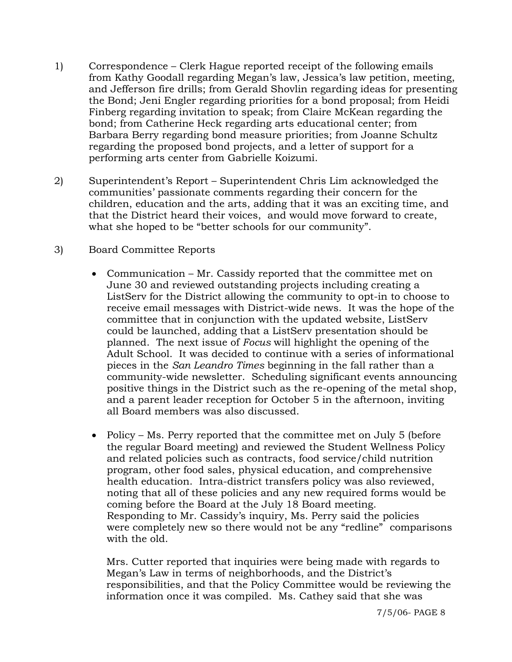- 1) Correspondence Clerk Hague reported receipt of the following emails from Kathy Goodall regarding Megan's law, Jessica's law petition, meeting, and Jefferson fire drills; from Gerald Shovlin regarding ideas for presenting the Bond; Jeni Engler regarding priorities for a bond proposal; from Heidi Finberg regarding invitation to speak; from Claire McKean regarding the bond; from Catherine Heck regarding arts educational center; from Barbara Berry regarding bond measure priorities; from Joanne Schultz regarding the proposed bond projects, and a letter of support for a performing arts center from Gabrielle Koizumi.
- 2) Superintendent's Report Superintendent Chris Lim acknowledged the communities' passionate comments regarding their concern for the children, education and the arts, adding that it was an exciting time, and that the District heard their voices, and would move forward to create, what she hoped to be "better schools for our community".
- 3) Board Committee Reports
	- Communication Mr. Cassidy reported that the committee met on June 30 and reviewed outstanding projects including creating a ListServ for the District allowing the community to opt-in to choose to receive email messages with District-wide news. It was the hope of the committee that in conjunction with the updated website, ListServ could be launched, adding that a ListServ presentation should be planned. The next issue of *Focus* will highlight the opening of the Adult School. It was decided to continue with a series of informational pieces in the *San Leandro Times* beginning in the fall rather than a community-wide newsletter. Scheduling significant events announcing positive things in the District such as the re-opening of the metal shop, and a parent leader reception for October 5 in the afternoon, inviting all Board members was also discussed.
	- Policy Ms. Perry reported that the committee met on July 5 (before the regular Board meeting) and reviewed the Student Wellness Policy and related policies such as contracts, food service/child nutrition program, other food sales, physical education, and comprehensive health education. Intra-district transfers policy was also reviewed, noting that all of these policies and any new required forms would be coming before the Board at the July 18 Board meeting. Responding to Mr. Cassidy's inquiry, Ms. Perry said the policies were completely new so there would not be any "redline" comparisons with the old.

 Mrs. Cutter reported that inquiries were being made with regards to Megan's Law in terms of neighborhoods, and the District's responsibilities, and that the Policy Committee would be reviewing the information once it was compiled. Ms. Cathey said that she was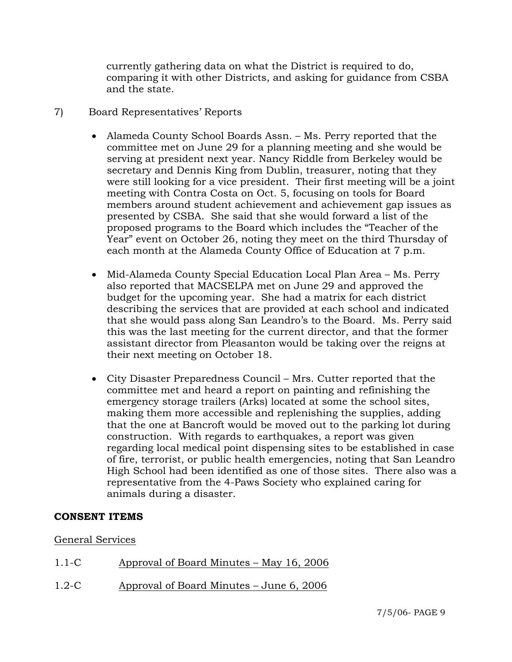currently gathering data on what the District is required to do, comparing it with other Districts, and asking for guidance from CSBA and the state.

## 7) Board Representatives' Reports

- Alameda County School Boards Assn. Ms. Perry reported that the committee met on June 29 for a planning meeting and she would be serving at president next year. Nancy Riddle from Berkeley would be secretary and Dennis King from Dublin, treasurer, noting that they were still looking for a vice president. Their first meeting will be a joint meeting with Contra Costa on Oct. 5, focusing on tools for Board members around student achievement and achievement gap issues as presented by CSBA. She said that she would forward a list of the proposed programs to the Board which includes the "Teacher of the Year" event on October 26, noting they meet on the third Thursday of each month at the Alameda County Office of Education at 7 p.m.
- Mid-Alameda County Special Education Local Plan Area Ms. Perry also reported that MACSELPA met on June 29 and approved the budget for the upcoming year. She had a matrix for each district describing the services that are provided at each school and indicated that she would pass along San Leandro's to the Board. Ms. Perry said this was the last meeting for the current director, and that the former assistant director from Pleasanton would be taking over the reigns at their next meeting on October 18.
- City Disaster Preparedness Council Mrs. Cutter reported that the committee met and heard a report on painting and refinishing the emergency storage trailers (Arks) located at some the school sites, making them more accessible and replenishing the supplies, adding that the one at Bancroft would be moved out to the parking lot during construction. With regards to earthquakes, a report was given regarding local medical point dispensing sites to be established in case of fire, terrorist, or public health emergencies, noting that San Leandro High School had been identified as one of those sites. There also was a representative from the 4-Paws Society who explained caring for animals during a disaster.

## **CONSENT ITEMS**

#### General Services

- 1.1-C Approval of Board Minutes May 16, 2006
- 1.2-C Approval of Board Minutes June 6, 2006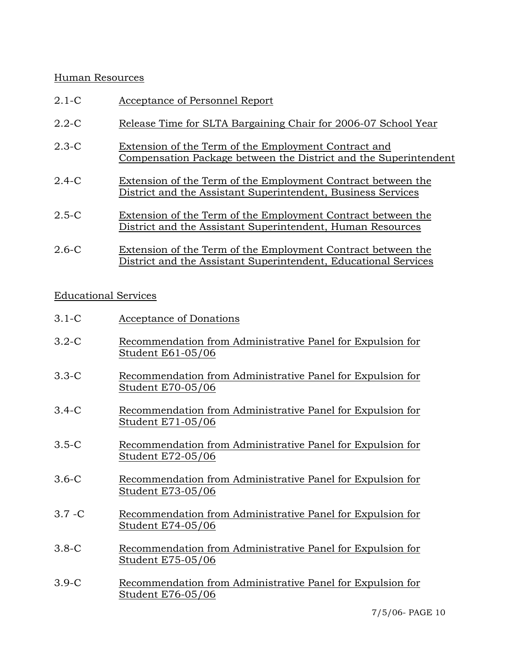### Human Resources

| $2.1-C$   | Acceptance of Personnel Report                                                                                                  |
|-----------|---------------------------------------------------------------------------------------------------------------------------------|
| $2.2 - C$ | Release Time for SLTA Bargaining Chair for 2006-07 School Year                                                                  |
| $2.3-C$   | Extension of the Term of the Employment Contract and<br>Compensation Package between the District and the Superintendent        |
| $2.4-C$   | Extension of the Term of the Employment Contract between the<br>District and the Assistant Superintendent, Business Services    |
| $2.5-C$   | Extension of the Term of the Employment Contract between the<br>District and the Assistant Superintendent, Human Resources      |
| $2.6-C$   | Extension of the Term of the Employment Contract between the<br>District and the Assistant Superintendent, Educational Services |

## Educational Services

| $3.1 - C$ | Acceptance of Donations |  |
|-----------|-------------------------|--|
|           |                         |  |

- 3.2-C Recommendation from Administrative Panel for Expulsion for Student E61-05/06
- 3.3-C Recommendation from Administrative Panel for Expulsion for Student E70-05/06
- 3.4-C Recommendation from Administrative Panel for Expulsion for Student E71-05/06
- 3.5-C Recommendation from Administrative Panel for Expulsion for Student E72-05/06
- 3.6-C Recommendation from Administrative Panel for Expulsion for Student E73-05/06
- 3.7 -C Recommendation from Administrative Panel for Expulsion for Student E74-05/06
- 3.8-C Recommendation from Administrative Panel for Expulsion for Student E75-05/06
- 3.9-C Recommendation from Administrative Panel for Expulsion for Student E76-05/06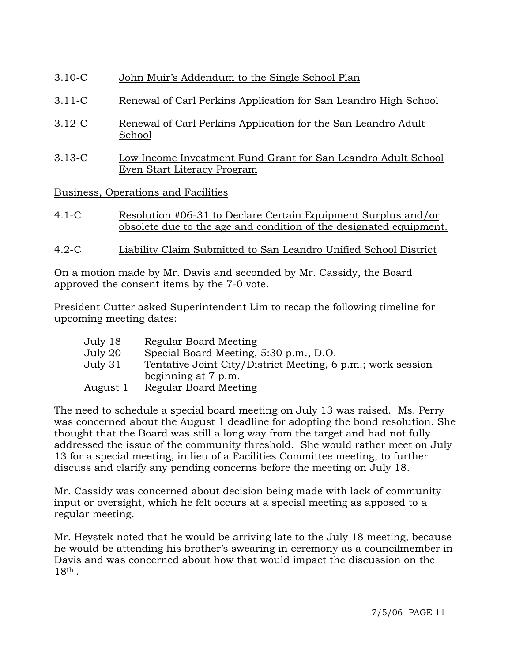- 3.10-C John Muir's Addendum to the Single School Plan
- 3.11-C Renewal of Carl Perkins Application for San Leandro High School
- 3.12-C Renewal of Carl Perkins Application for the San Leandro Adult School
- 3.13-C Low Income Investment Fund Grant for San Leandro Adult School Even Start Literacy Program

Business, Operations and Facilities

- 4.1-C Resolution #06-31 to Declare Certain Equipment Surplus and/or obsolete due to the age and condition of the designated equipment.
- 4.2-C Liability Claim Submitted to San Leandro Unified School District

On a motion made by Mr. Davis and seconded by Mr. Cassidy, the Board approved the consent items by the 7-0 vote.

President Cutter asked Superintendent Lim to recap the following timeline for upcoming meeting dates:

| July 18  | Regular Board Meeting                                       |
|----------|-------------------------------------------------------------|
| July 20  | Special Board Meeting, 5:30 p.m., D.O.                      |
| July 31  | Tentative Joint City/District Meeting, 6 p.m.; work session |
|          | beginning at 7 p.m.                                         |
| August 1 | Regular Board Meeting                                       |

The need to schedule a special board meeting on July 13 was raised. Ms. Perry was concerned about the August 1 deadline for adopting the bond resolution. She thought that the Board was still a long way from the target and had not fully addressed the issue of the community threshold. She would rather meet on July 13 for a special meeting, in lieu of a Facilities Committee meeting, to further discuss and clarify any pending concerns before the meeting on July 18.

Mr. Cassidy was concerned about decision being made with lack of community input or oversight, which he felt occurs at a special meeting as apposed to a regular meeting.

Mr. Heystek noted that he would be arriving late to the July 18 meeting, because he would be attending his brother's swearing in ceremony as a councilmember in Davis and was concerned about how that would impact the discussion on the 18th .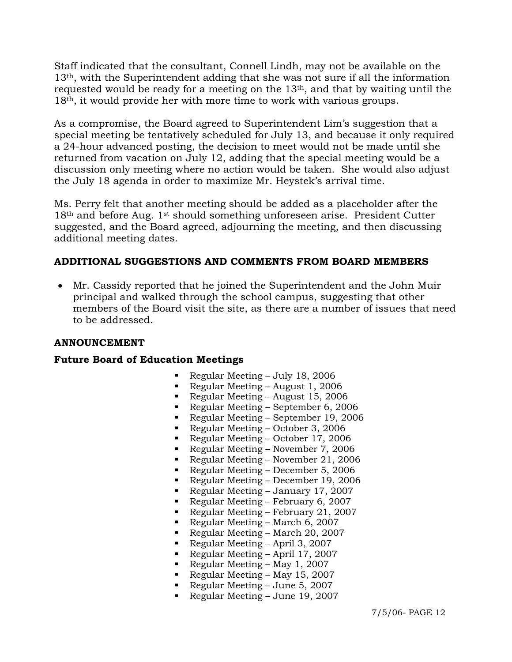Staff indicated that the consultant, Connell Lindh, may not be available on the 13th, with the Superintendent adding that she was not sure if all the information requested would be ready for a meeting on the 13th, and that by waiting until the 18th, it would provide her with more time to work with various groups.

As a compromise, the Board agreed to Superintendent Lim's suggestion that a special meeting be tentatively scheduled for July 13, and because it only required a 24-hour advanced posting, the decision to meet would not be made until she returned from vacation on July 12, adding that the special meeting would be a discussion only meeting where no action would be taken. She would also adjust the July 18 agenda in order to maximize Mr. Heystek's arrival time.

Ms. Perry felt that another meeting should be added as a placeholder after the  $18<sup>th</sup>$  and before Aug. 1<sup>st</sup> should something unforeseen arise. President Cutter suggested, and the Board agreed, adjourning the meeting, and then discussing additional meeting dates.

## **ADDITIONAL SUGGESTIONS AND COMMENTS FROM BOARD MEMBERS**

• Mr. Cassidy reported that he joined the Superintendent and the John Muir principal and walked through the school campus, suggesting that other members of the Board visit the site, as there are a number of issues that need to be addressed.

#### **ANNOUNCEMENT**

#### **Future Board of Education Meetings**

- Regular Meeting July 18, 2006
- Regular Meeting August 1, 2006
- Regular Meeting August 15, 2006
- Regular Meeting September 6, 2006
- Regular Meeting September 19, 2006<br>Regular Meeting October 3, 2006
- Regular Meeting October 3, 2006
- Regular Meeting October 17, 2006
- Regular Meeting November 7, 2006
- Regular Meeting November 21, 2006
- Regular Meeting December 5, 2006
- Regular Meeting December 19, 2006
- Regular Meeting January 17, 2007
- Regular Meeting February 6, 2007
- Regular Meeting February 21, 2007
- Regular Meeting March 6, 2007
- Regular Meeting March 20, 2007
- Regular Meeting April 3, 2007
- Regular Meeting April 17, 2007
- Regular Meeting May 1, 2007
- Regular Meeting May 15, 2007
- Regular Meeting June 5, 2007
- Regular Meeting June 19, 2007